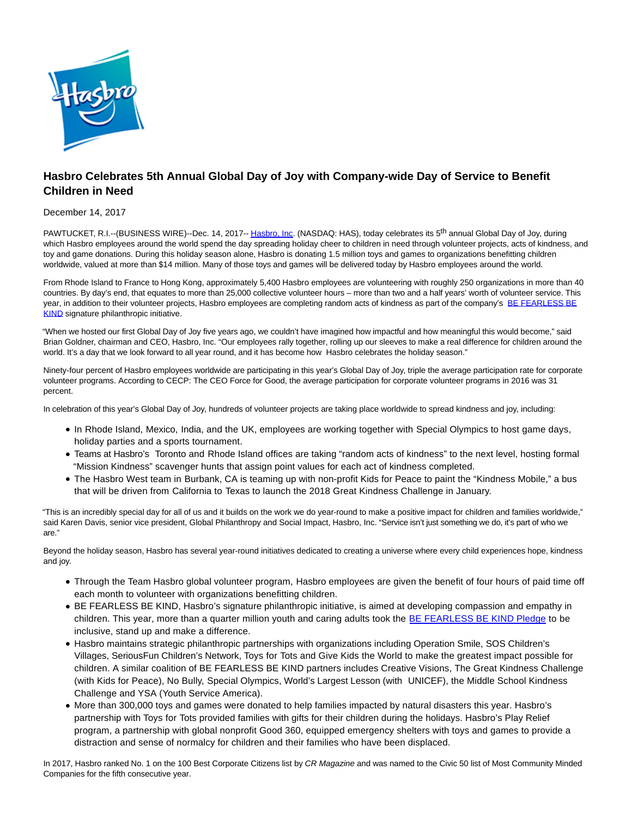

## **Hasbro Celebrates 5th Annual Global Day of Joy with Company-wide Day of Service to Benefit Children in Need**

## December 14, 2017

PAWTUCKET, R.I.--(BUSINESS WIRE)--Dec. 14, 2017-[- Hasbro, Inc.](http://cts.businesswire.com/ct/CT?id=smartlink&url=http%3A%2F%2Fwww.hasbro.com%2F&esheet=51729878&newsitemid=20171214005140&lan=en-US&anchor=Hasbro%2C+Inc&index=1&md5=939f3a8064ee3773fd6baa87c1bfbd33) (NASDAQ: HAS), today celebrates its 5<sup>th</sup> annual Global Day of Joy, during which Hasbro employees around the world spend the day spreading holiday cheer to children in need through volunteer projects, acts of kindness, and toy and game donations. During this holiday season alone, Hasbro is donating 1.5 million toys and games to organizations benefitting children worldwide, valued at more than \$14 million. Many of those toys and games will be delivered today by Hasbro employees around the world.

From Rhode Island to France to Hong Kong, approximately 5,400 Hasbro employees are volunteering with roughly 250 organizations in more than 40 countries. By day's end, that equates to more than 25,000 collective volunteer hours – more than two and a half years' worth of volunteer service. This year, in addition to their volunteer projects, Hasbro employees are completing random acts of kindness as part of the company's [BE FEARLESS BE](http://cts.businesswire.com/ct/CT?id=smartlink&url=http%3A%2F%2Fwww.befearlessbekind.com%2F&esheet=51729878&newsitemid=20171214005140&lan=en-US&anchor=BE+FEARLESS+BE+KIND&index=2&md5=08a02e540318a6eb73c7dbbe934a0283) KIND signature philanthropic initiative.

"When we hosted our first Global Day of Joy five years ago, we couldn't have imagined how impactful and how meaningful this would become," said Brian Goldner, chairman and CEO, Hasbro, Inc. "Our employees rally together, rolling up our sleeves to make a real difference for children around the world. It's a day that we look forward to all year round, and it has become how Hasbro celebrates the holiday season."

Ninety-four percent of Hasbro employees worldwide are participating in this year's Global Day of Joy, triple the average participation rate for corporate volunteer programs. According to CECP: The CEO Force for Good, the average participation for corporate volunteer programs in 2016 was 31 percent.

In celebration of this year's Global Day of Joy, hundreds of volunteer projects are taking place worldwide to spread kindness and joy, including:

- In Rhode Island, Mexico, India, and the UK, employees are working together with Special Olympics to host game days, holiday parties and a sports tournament.
- Teams at Hasbro's Toronto and Rhode Island offices are taking "random acts of kindness" to the next level, hosting formal "Mission Kindness" scavenger hunts that assign point values for each act of kindness completed.
- The Hasbro West team in Burbank, CA is teaming up with non-profit Kids for Peace to paint the "Kindness Mobile," a bus that will be driven from California to Texas to launch the 2018 Great Kindness Challenge in January.

"This is an incredibly special day for all of us and it builds on the work we do year-round to make a positive impact for children and families worldwide," said Karen Davis, senior vice president, Global Philanthropy and Social Impact, Hasbro, Inc. "Service isn't just something we do, it's part of who we are."

Beyond the holiday season, Hasbro has several year-round initiatives dedicated to creating a universe where every child experiences hope, kindness and joy.

- Through the Team Hasbro global volunteer program, Hasbro employees are given the benefit of four hours of paid time off each month to volunteer with organizations benefitting children.
- BE FEARLESS BE KIND, Hasbro's signature philanthropic initiative, is aimed at developing compassion and empathy in children. This year, more than a quarter million youth and caring adults took the [BE FEARLESS BE KIND Pledge t](http://cts.businesswire.com/ct/CT?id=smartlink&url=http%3A%2F%2Fwww.ysa.org%2FBEFEARLESSBEKIND&esheet=51729878&newsitemid=20171214005140&lan=en-US&anchor=BE+FEARLESS+BE+KIND+Pledge&index=3&md5=7c8b4f5ca279b13755b0c91e2367cbf1)o be inclusive, stand up and make a difference.
- Hasbro maintains strategic philanthropic partnerships with organizations including Operation Smile, SOS Children's Villages, SeriousFun Children's Network, Toys for Tots and Give Kids the World to make the greatest impact possible for children. A similar coalition of BE FEARLESS BE KIND partners includes Creative Visions, The Great Kindness Challenge (with Kids for Peace), No Bully, Special Olympics, World's Largest Lesson (with UNICEF), the Middle School Kindness Challenge and YSA (Youth Service America).
- More than 300,000 toys and games were donated to help families impacted by natural disasters this year. Hasbro's partnership with Toys for Tots provided families with gifts for their children during the holidays. Hasbro's Play Relief program, a partnership with global nonprofit Good 360, equipped emergency shelters with toys and games to provide a distraction and sense of normalcy for children and their families who have been displaced.

In 2017, Hasbro ranked No. 1 on the 100 Best Corporate Citizens list by CR Magazine and was named to the Civic 50 list of Most Community Minded Companies for the fifth consecutive year.